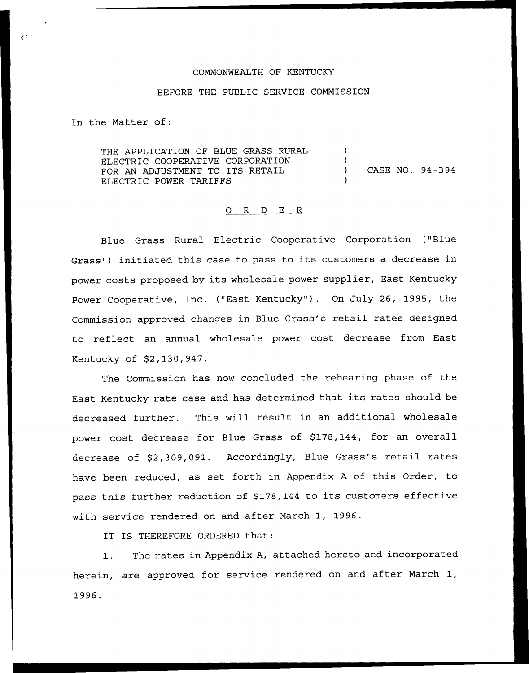### COMMONWEALTH OF KENTUCKY

### BEFORE THE PUBLIC SERVICE COMMISSION

In the Matter of:

THE APPLICATION OF BLUE GRASS RURAL ELECTRIC COOPERATIVE CORPORATION FOR AN ADJUSTMENT TO ITS RETAIL ELECTRIC POWER TARIFFS ) ) ) CASE NO. 94-394 )

#### 0 R <sup>D</sup> E R

Blue Grass Rural Electric Cooperative Corporation ("Blue Grass") initiated this case to pass to its customers a decrease in power costs proposed by its wholesale power supplier, East Kentucky Power Cooperative, Inc. ("East Kentucky" ). On July 26, 1995, the Commission approved changes in Blue Grass's retail rates designed to reflect an annual wholesale power cost decrease from East Kentucky of \$2,130,947.

The Commission has now concluded the rehearing phase of the East Kentucky rate case and has determined that its rates should be decreased further. This will result in an additional wholesale power cost decrease for Blue Grass of \$178,144, for an overall decrease of \$2,309,091. Accordingly, Blue Grass's retail rates have been reduced, as set forth in Appendix <sup>A</sup> of this Order, to pass this further reduction of \$178,144 to its customers effective with service rendered on and after March 1, 1996.

IT IS THEREFORE ORDERED that:

1. The rates in Appendix A, attached hereto and incorporated herein, are approved for service rendered on and after March 1, 1996.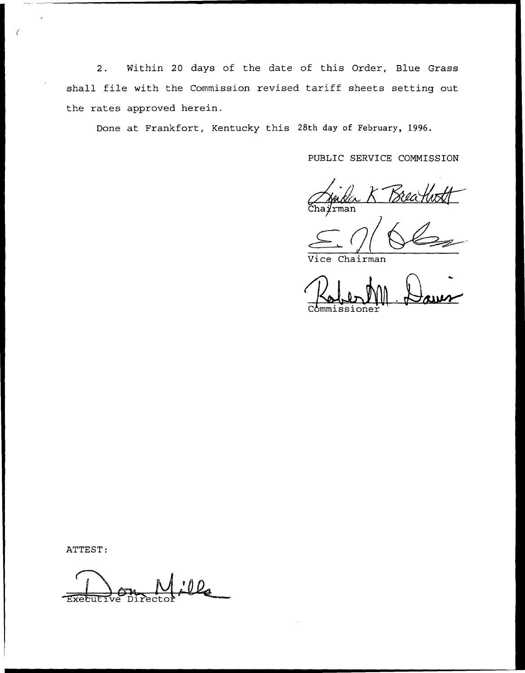Within 20 days of the date of this Order, Blue Grass  $2.$ shall file with the Commission revised tariff sheets setting out the rates approved herein.

Done at Frankfort, Kentucky this 28th day of February, 1996.

PUBLIC SERVICE COMMISSION

Bèla *ir*man

Vice Chairman

Commissione

ATTEST:

Ola Execut īve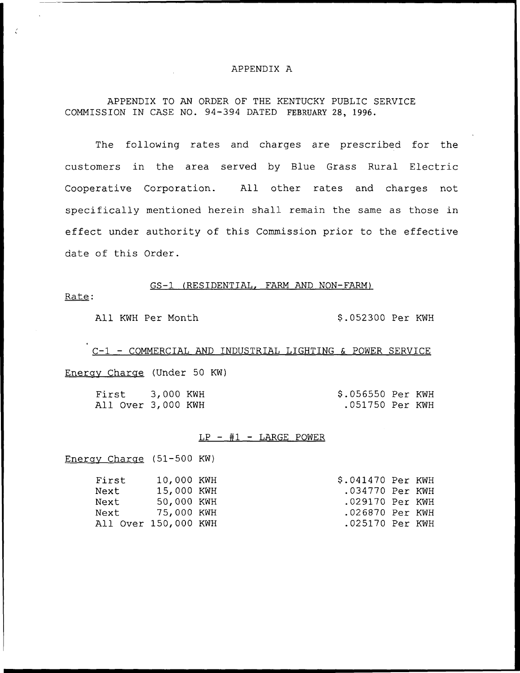# APPENDIX A

### APPENDIX TO AN ORDER OF THE KENTUCKY PUBLIC SERVICE COMMISSION IN CASE NO. 94-394 DATED FEBRUARY 28, 1996.

The following rates and charges are prescribed for the customers in the area served by Blue Grass Rural Electric Cooperative Corporation. All other rates and charges not specifically mentioned herein shall remain the same as those in effect under authority of this Commission prior to the effective date of this Order.

#### GS-1 (RESIDENTIAL, FARM AND NON-FARM)

Rate:

All KWH Per Month 9.052300 Per KWH

C-1 — COMMERCIAL AND INDUSTRIAL LIGHTING & POWER SERVICE Energv Charac (Under 50 KN)

First 3,000 KNH All Over 3,000 KWH 9.056550 Per KNH .051750 Per KNH

### $LP - #1 - LARGE$  POWER

Enerav Charac (51-500 KW)

| First                | 10,000 KWH | \$.041470 Per KWH |  |
|----------------------|------------|-------------------|--|
| Next                 | 15,000 KWH | .034770 Per KWH   |  |
| Next                 | 50,000 KWH | .029170 Per KWH   |  |
| Next 75,000 KWH      |            | .026870 Per KWH   |  |
| All Over 150,000 KWH |            | .025170 Per KWH   |  |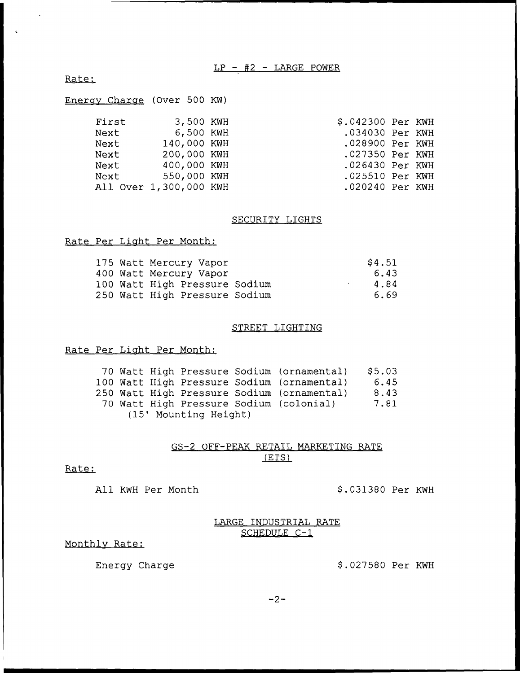### $LP - #2 - LARGE$  POWER

Rate:

 $\sim 10^7$ 

 $\mathbf{c}$ 

|  | Energy Charge (Over 500 KW) |  |  |  |
|--|-----------------------------|--|--|--|
|--|-----------------------------|--|--|--|

|  | 3,500 KWH<br>6,500 KWH<br>140,000 KWH<br>200,000 KWH<br>400,000 KWH<br>550,000 KWH<br>All Over 1,300,000 KWH | \$.042300 Per KWH<br>.034030 Per KWH<br>.028900 Per KWH<br>.027350 Per KWH<br>.026430 Per KWH<br>.025510 Per KWH<br>.020240 Per KWH |
|--|--------------------------------------------------------------------------------------------------------------|-------------------------------------------------------------------------------------------------------------------------------------|

### SECURITY LIGHTS

### Rate Per Liaht Per Month:

|  | 175 Watt Mercury Vapor        |  | \$4.51 |
|--|-------------------------------|--|--------|
|  | 400 Watt Mercury Vapor        |  | 6.43   |
|  | 100 Watt High Pressure Sodium |  | 4.84   |
|  | 250 Watt High Pressure Sodium |  | 6.69   |

### STREET LIGHTING

# Rate Per Liaht Per Month:

|                       |  |  |  |  | 70 Watt High Pressure Sodium (ornamental)  | \$5.03 |
|-----------------------|--|--|--|--|--------------------------------------------|--------|
|                       |  |  |  |  | 100 Watt High Pressure Sodium (ornamental) | 6.45   |
|                       |  |  |  |  | 250 Watt High Pressure Sodium (ornamental) | 8.43   |
|                       |  |  |  |  | 70 Watt High Pressure Sodium (colonial)    | 7.81   |
| (15' Mounting Height) |  |  |  |  |                                            |        |

### GS-2 OFF-PEAK RETAIL MARKETING RATE (ETS)

### Rate:

All KWH Per Month  $$.031380$  Per KWH

## LARGE INDUSTRIAL RATE SCHEDULE C-1

### Monthlv Rate:

Energy Charge  $$.027580$  Per KWH